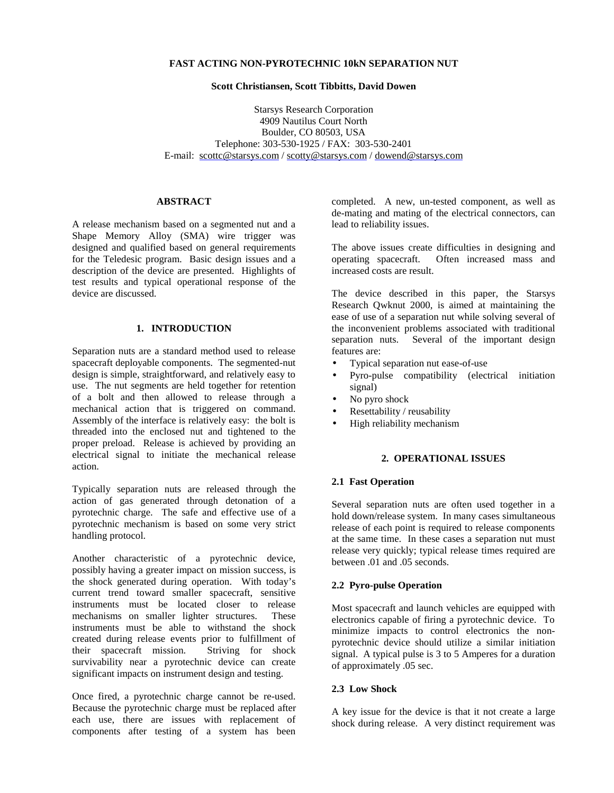### **FAST ACTING NON-PYROTECHNIC 10kN SEPARATION NUT**

#### **Scott Christiansen, Scott Tibbitts, David Dowen**

Starsys Research Corporation 4909 Nautilus Court North Boulder, CO 80503, USA Telephone: 303-530-1925 / FAX: 303-530-2401 E-mail: scottc@starsys.com / scotty@starsys.com / dowend@starsys.com

#### **ABSTRACT**

A release mechanism based on a segmented nut and a Shape Memory Alloy (SMA) wire trigger was designed and qualified based on general requirements for the Teledesic program. Basic design issues and a description of the device are presented. Highlights of test results and typical operational response of the device are discussed.

### **1. INTRODUCTION**

Separation nuts are a standard method used to release spacecraft deployable components. The segmented-nut design is simple, straightforward, and relatively easy to use. The nut segments are held together for retention of a bolt and then allowed to release through a mechanical action that is triggered on command. Assembly of the interface is relatively easy: the bolt is threaded into the enclosed nut and tightened to the proper preload. Release is achieved by providing an electrical signal to initiate the mechanical release action.

Typically separation nuts are released through the action of gas generated through detonation of a pyrotechnic charge. The safe and effective use of a pyrotechnic mechanism is based on some very strict handling protocol.

Another characteristic of a pyrotechnic device, possibly having a greater impact on mission success, is the shock generated during operation. With today's current trend toward smaller spacecraft, sensitive instruments must be located closer to release mechanisms on smaller lighter structures. These instruments must be able to withstand the shock created during release events prior to fulfillment of their spacecraft mission. Striving for shock survivability near a pyrotechnic device can create significant impacts on instrument design and testing.

Once fired, a pyrotechnic charge cannot be re-used. Because the pyrotechnic charge must be replaced after each use, there are issues with replacement of components after testing of a system has been completed. A new, un-tested component, as well as de-mating and mating of the electrical connectors, can lead to reliability issues.

The above issues create difficulties in designing and operating spacecraft. Often increased mass and increased costs are result.

The device described in this paper, the Starsys Research Qwknut 2000, is aimed at maintaining the ease of use of a separation nut while solving several of the inconvenient problems associated with traditional separation nuts. Several of the important design features are:

- Typical separation nut ease-of-use
- Pyro-pulse compatibility (electrical initiation signal)
- No pyro shock
- Resettability / reusability
- High reliability mechanism

### **2. OPERATIONAL ISSUES**

### **2.1 Fast Operation**

Several separation nuts are often used together in a hold down/release system. In many cases simultaneous release of each point is required to release components at the same time. In these cases a separation nut must release very quickly; typical release times required are between .01 and .05 seconds.

### **2.2 Pyro-pulse Operation**

Most spacecraft and launch vehicles are equipped with electronics capable of firing a pyrotechnic device. To minimize impacts to control electronics the nonpyrotechnic device should utilize a similar initiation signal. A typical pulse is 3 to 5 Amperes for a duration of approximately .05 sec.

### **2.3 Low Shock**

A key issue for the device is that it not create a large shock during release. A very distinct requirement was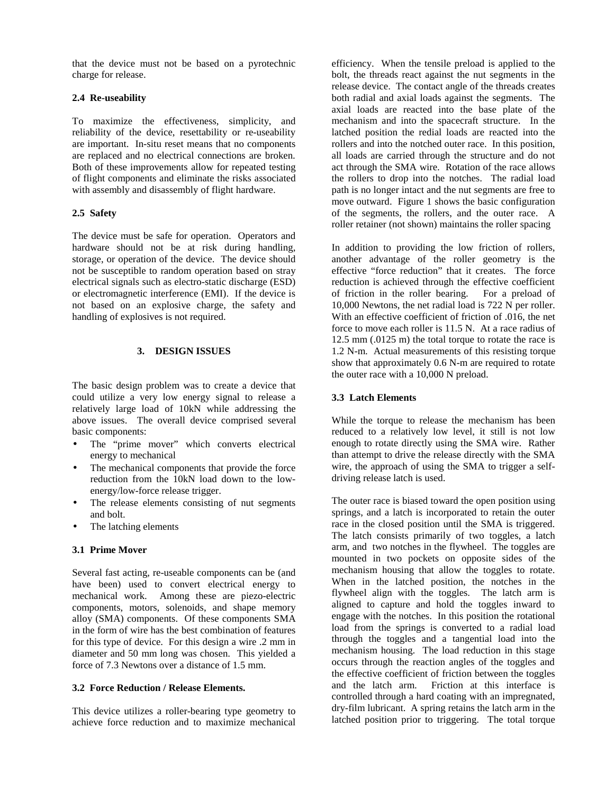that the device must not be based on a pyrotechnic charge for release.

## **2.4 Re-useability**

To maximize the effectiveness, simplicity, and reliability of the device, resettability or re-useability are important. In-situ reset means that no components are replaced and no electrical connections are broken. Both of these improvements allow for repeated testing of flight components and eliminate the risks associated with assembly and disassembly of flight hardware.

## **2.5 Safety**

The device must be safe for operation. Operators and hardware should not be at risk during handling, storage, or operation of the device. The device should not be susceptible to random operation based on stray electrical signals such as electro-static discharge (ESD) or electromagnetic interference (EMI). If the device is not based on an explosive charge, the safety and handling of explosives is not required.

## **3. DESIGN ISSUES**

The basic design problem was to create a device that could utilize a very low energy signal to release a relatively large load of 10kN while addressing the above issues. The overall device comprised several basic components:

- The "prime mover" which converts electrical energy to mechanical
- The mechanical components that provide the force reduction from the 10kN load down to the lowenergy/low-force release trigger.
- The release elements consisting of nut segments and bolt.
- The latching elements

# **3.1 Prime Mover**

Several fast acting, re-useable components can be (and have been) used to convert electrical energy to mechanical work. Among these are piezo-electric components, motors, solenoids, and shape memory alloy (SMA) components. Of these components SMA in the form of wire has the best combination of features for this type of device. For this design a wire .2 mm in diameter and 50 mm long was chosen. This yielded a force of 7.3 Newtons over a distance of 1.5 mm.

# **3.2 Force Reduction / Release Elements.**

This device utilizes a roller-bearing type geometry to achieve force reduction and to maximize mechanical efficiency. When the tensile preload is applied to the bolt, the threads react against the nut segments in the release device. The contact angle of the threads creates both radial and axial loads against the segments. The axial loads are reacted into the base plate of the mechanism and into the spacecraft structure. In the latched position the redial loads are reacted into the rollers and into the notched outer race. In this position, all loads are carried through the structure and do not act through the SMA wire. Rotation of the race allows the rollers to drop into the notches. The radial load path is no longer intact and the nut segments are free to move outward. Figure 1 shows the basic configuration of the segments, the rollers, and the outer race. A roller retainer (not shown) maintains the roller spacing

In addition to providing the low friction of rollers, another advantage of the roller geometry is the effective "force reduction" that it creates. The force reduction is achieved through the effective coefficient of friction in the roller bearing. For a preload of 10,000 Newtons, the net radial load is 722 N per roller. With an effective coefficient of friction of .016, the net force to move each roller is 11.5 N. At a race radius of 12.5 mm (.0125 m) the total torque to rotate the race is 1.2 N-m. Actual measurements of this resisting torque show that approximately 0.6 N-m are required to rotate the outer race with a 10,000 N preload.

## **3.3 Latch Elements**

While the torque to release the mechanism has been reduced to a relatively low level, it still is not low enough to rotate directly using the SMA wire. Rather than attempt to drive the release directly with the SMA wire, the approach of using the SMA to trigger a selfdriving release latch is used.

The outer race is biased toward the open position using springs, and a latch is incorporated to retain the outer race in the closed position until the SMA is triggered. The latch consists primarily of two toggles, a latch arm, and two notches in the flywheel. The toggles are mounted in two pockets on opposite sides of the mechanism housing that allow the toggles to rotate. When in the latched position, the notches in the flywheel align with the toggles. The latch arm is aligned to capture and hold the toggles inward to engage with the notches. In this position the rotational load from the springs is converted to a radial load through the toggles and a tangential load into the mechanism housing. The load reduction in this stage occurs through the reaction angles of the toggles and the effective coefficient of friction between the toggles and the latch arm. Friction at this interface is controlled through a hard coating with an impregnated, dry-film lubricant. A spring retains the latch arm in the latched position prior to triggering. The total torque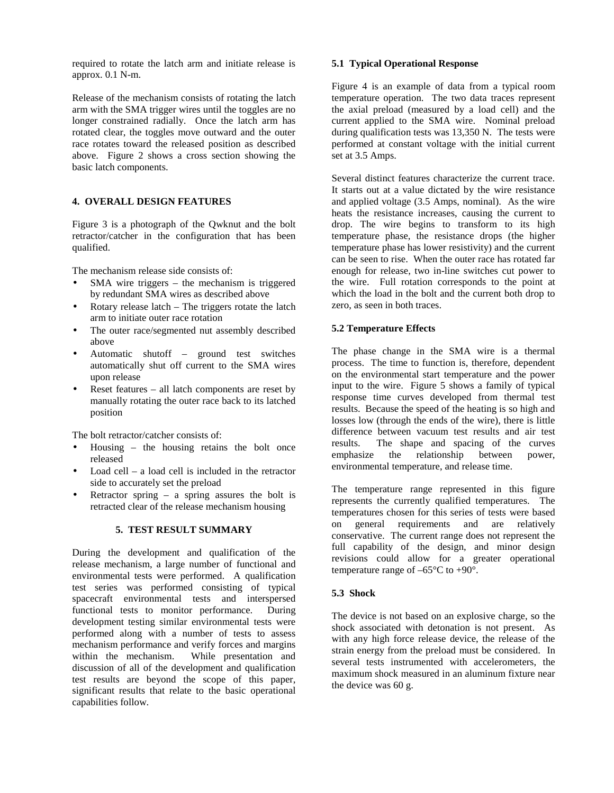required to rotate the latch arm and initiate release is approx. 0.1 N-m.

Release of the mechanism consists of rotating the latch arm with the SMA trigger wires until the toggles are no longer constrained radially. Once the latch arm has rotated clear, the toggles move outward and the outer race rotates toward the released position as described above. Figure 2 shows a cross section showing the basic latch components.

## **4. OVERALL DESIGN FEATURES**

Figure 3 is a photograph of the Qwknut and the bolt retractor/catcher in the configuration that has been qualified.

The mechanism release side consists of:

- $SMA$  wire triggers the mechanism is triggered by redundant SMA wires as described above
- Rotary release latch The triggers rotate the latch arm to initiate outer race rotation
- The outer race/segmented nut assembly described above
- Automatic shutoff ground test switches automatically shut off current to the SMA wires upon release
- Reset features  $-$  all latch components are reset by manually rotating the outer race back to its latched position

The bolt retractor/catcher consists of:

- Housing  $-$  the housing retains the bolt once released
- Load cell a load cell is included in the retractor side to accurately set the preload
- Retractor spring a spring assures the bolt is retracted clear of the release mechanism housing

## **5. TEST RESULT SUMMARY**

During the development and qualification of the release mechanism, a large number of functional and environmental tests were performed. A qualification test series was performed consisting of typical spacecraft environmental tests and interspersed functional tests to monitor performance. During development testing similar environmental tests were performed along with a number of tests to assess mechanism performance and verify forces and margins within the mechanism. While presentation and discussion of all of the development and qualification test results are beyond the scope of this paper, significant results that relate to the basic operational capabilities follow.

### **5.1 Typical Operational Response**

Figure 4 is an example of data from a typical room temperature operation. The two data traces represent the axial preload (measured by a load cell) and the current applied to the SMA wire. Nominal preload during qualification tests was 13,350 N. The tests were performed at constant voltage with the initial current set at 3.5 Amps.

Several distinct features characterize the current trace. It starts out at a value dictated by the wire resistance and applied voltage (3.5 Amps, nominal). As the wire heats the resistance increases, causing the current to drop. The wire begins to transform to its high temperature phase, the resistance drops (the higher temperature phase has lower resistivity) and the current can be seen to rise. When the outer race has rotated far enough for release, two in-line switches cut power to the wire. Full rotation corresponds to the point at which the load in the bolt and the current both drop to zero, as seen in both traces.

### **5.2 Temperature Effects**

The phase change in the SMA wire is a thermal process. The time to function is, therefore, dependent on the environmental start temperature and the power input to the wire. Figure 5 shows a family of typical response time curves developed from thermal test results. Because the speed of the heating is so high and losses low (through the ends of the wire), there is little difference between vacuum test results and air test results. The shape and spacing of the curves emphasize the relationship between power, environmental temperature, and release time.

The temperature range represented in this figure represents the currently qualified temperatures. The temperatures chosen for this series of tests were based on general requirements and are relatively conservative. The current range does not represent the full capability of the design, and minor design revisions could allow for a greater operational temperature range of  $-65^{\circ}$ C to  $+90^{\circ}$ .

## **5.3 Shock**

The device is not based on an explosive charge, so the shock associated with detonation is not present. As with any high force release device, the release of the strain energy from the preload must be considered. In several tests instrumented with accelerometers, the maximum shock measured in an aluminum fixture near the device was 60 g.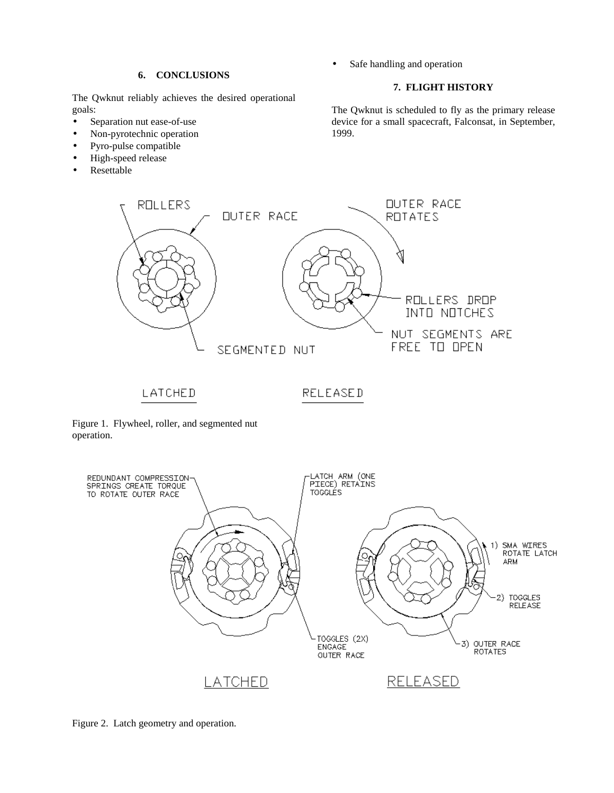#### **6. CONCLUSIONS**

The Qwknut reliably achieves the desired operational goals:

- Separation nut ease-of-use
- Non-pyrotechnic operation
- Pyro-pulse compatible
- High-speed release
- **Resettable**

Safe handling and operation

### **7. FLIGHT HISTORY**

The Qwknut is scheduled to fly as the primary release device for a small spacecraft, Falconsat, in September, 1999.



Figure 1. Flywheel, roller, and segmented nut operation.